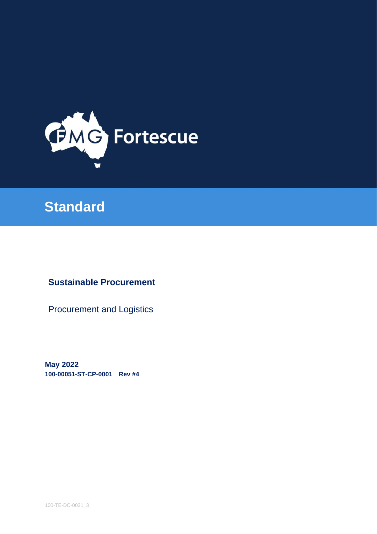

# **Standard**

# **Sustainable Procurement**

Procurement and Logistics

**May 2022 100-00051-ST-CP-0001 Rev #4**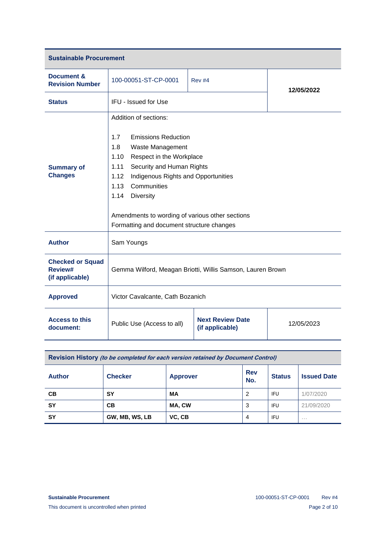| <b>Sustainable Procurement</b>                        |                                                                                                                                                                                                                                                                                                                                                                  |                                            |            |  |  |  |
|-------------------------------------------------------|------------------------------------------------------------------------------------------------------------------------------------------------------------------------------------------------------------------------------------------------------------------------------------------------------------------------------------------------------------------|--------------------------------------------|------------|--|--|--|
| Document &<br><b>Revision Number</b>                  | 100-00051-ST-CP-0001                                                                                                                                                                                                                                                                                                                                             | <b>Rev #4</b>                              | 12/05/2022 |  |  |  |
| <b>Status</b>                                         | IFU - Issued for Use                                                                                                                                                                                                                                                                                                                                             |                                            |            |  |  |  |
| <b>Summary of</b><br><b>Changes</b>                   | Addition of sections:<br><b>Emissions Reduction</b><br>1.7<br>1.8<br>Waste Management<br>1.10<br>Respect in the Workplace<br>1.11<br>Security and Human Rights<br>1.12<br>Indigenous Rights and Opportunities<br>Communities<br>1.13<br>1.14<br><b>Diversity</b><br>Amendments to wording of various other sections<br>Formatting and document structure changes |                                            |            |  |  |  |
| <b>Author</b>                                         | Sam Youngs                                                                                                                                                                                                                                                                                                                                                       |                                            |            |  |  |  |
| <b>Checked or Squad</b><br>Review#<br>(if applicable) | Gemma Wilford, Meagan Briotti, Willis Samson, Lauren Brown                                                                                                                                                                                                                                                                                                       |                                            |            |  |  |  |
| <b>Approved</b>                                       | Victor Cavalcante, Cath Bozanich                                                                                                                                                                                                                                                                                                                                 |                                            |            |  |  |  |
| <b>Access to this</b><br>document:                    | Public Use (Access to all)                                                                                                                                                                                                                                                                                                                                       | <b>Next Review Date</b><br>(if applicable) | 12/05/2023 |  |  |  |

| Revision History (to be completed for each version retained by Document Control) |                |                 |                   |               |                    |  |
|----------------------------------------------------------------------------------|----------------|-----------------|-------------------|---------------|--------------------|--|
| <b>Author</b>                                                                    | <b>Checker</b> | <b>Approver</b> | <b>Rev</b><br>No. | <b>Status</b> | <b>Issued Date</b> |  |
| CВ                                                                               | SΥ             | МA              | 2                 | <b>IFU</b>    | 1/07/2020          |  |
| <b>SY</b>                                                                        | <b>CB</b>      | MA, CW          | 3                 | <b>IFU</b>    | 21/09/2020         |  |
| <b>SY</b>                                                                        | GW, MB, WS, LB | VC, CB          | $\overline{4}$    | <b>IFU</b>    | $\cdots$           |  |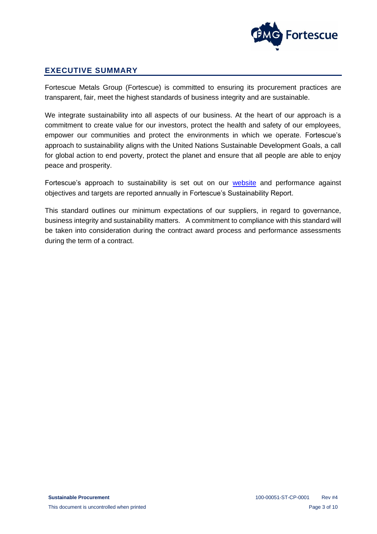

# <span id="page-2-0"></span>**EXECUTIVE SUMMARY**

Fortescue Metals Group (Fortescue) is committed to ensuring its procurement practices are transparent, fair, meet the highest standards of business integrity and are sustainable.

We integrate sustainability into all aspects of our business. At the heart of our approach is a commitment to create value for our investors, protect the health and safety of our employees, empower our communities and protect the environments in which we operate. Fortescue's approach to sustainability aligns with the United Nations Sustainable Development Goals, a call for global action to end poverty, protect the planet and ensure that all people are able to enjoy peace and prosperity.

Fortescue's approach to sustainability is set out on our [website](https://www.fmgl.com.au/workingresponsibly) and performance against objectives and targets are reported annually in Fortescue's Sustainability Report.

This standard outlines our minimum expectations of our suppliers, in regard to governance, business integrity and sustainability matters. A commitment to compliance with this standard will be taken into consideration during the contract award process and performance assessments during the term of a contract.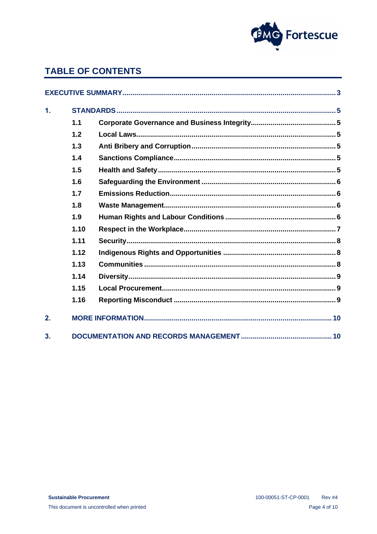

# **TABLE OF CONTENTS**

| $\mathbf{1}$ . |      |  |  |  |
|----------------|------|--|--|--|
|                | 1.1  |  |  |  |
|                | 1.2  |  |  |  |
|                | 1.3  |  |  |  |
|                | 1.4  |  |  |  |
|                | 1.5  |  |  |  |
|                | 1.6  |  |  |  |
|                | 1.7  |  |  |  |
|                | 1.8  |  |  |  |
|                | 1.9  |  |  |  |
|                | 1.10 |  |  |  |
|                | 1.11 |  |  |  |
|                | 1.12 |  |  |  |
|                | 1.13 |  |  |  |
|                | 1.14 |  |  |  |
|                | 1.15 |  |  |  |
|                | 1.16 |  |  |  |
| 2.             |      |  |  |  |
| 3.             |      |  |  |  |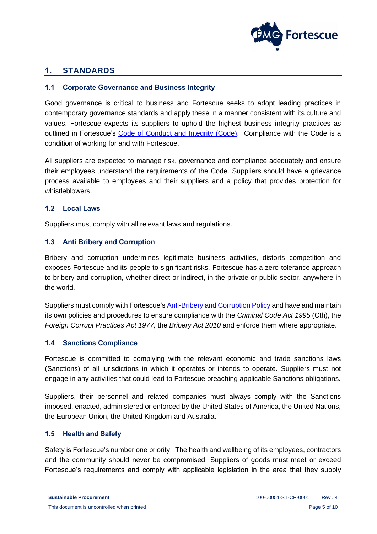

# <span id="page-4-0"></span>**1. STANDARDS**

#### <span id="page-4-1"></span>**1.1 Corporate Governance and Business Integrity**

Good governance is critical to business and Fortescue seeks to adopt leading practices in contemporary governance standards and apply these in a manner consistent with its culture and values. Fortescue expects its suppliers to uphold the highest business integrity practices as outlined in Fortescue's [Code of Conduct and Integrity](https://www.fmgl.com.au/docs/default-source/corporate-governance-documents/employee-code-of-conduct-and-integrity-policya0bd4ae76b624257ac9336c49824a162.pdf) (Code). Compliance with the Code is a condition of working for and with Fortescue.

All suppliers are expected to manage risk, governance and compliance adequately and ensure their employees understand the requirements of the Code. Suppliers should have a grievance process available to employees and their suppliers and a policy that provides protection for whistleblowers.

#### <span id="page-4-2"></span>**1.2 Local Laws**

Suppliers must comply with all relevant laws and regulations.

#### <span id="page-4-3"></span>**1.3 Anti Bribery and Corruption**

Bribery and corruption undermines legitimate business activities, distorts competition and exposes Fortescue and its people to significant risks. Fortescue has a zero-tolerance approach to bribery and corruption, whether direct or indirect, in the private or public sector, anywhere in the world.

Suppliers must comply with Fortescue's [Anti-Bribery and Corruption Policy](https://www.fmgl.com.au/docs/default-source/corporate-governance-documents/anti-bribery-and-corruption-policy.pdf?sfvrsn=8deaba32_2) and have and maintain its own policies and procedures to ensure compliance with the *Criminal Code Act 1995* (Cth), the *Foreign Corrupt Practices Act 1977,* the *Bribery Act 2010* and enforce them where appropriate.

#### <span id="page-4-4"></span>**1.4 Sanctions Compliance**

Fortescue is committed to complying with the relevant economic and trade sanctions laws (Sanctions) of all jurisdictions in which it operates or intends to operate. Suppliers must not engage in any activities that could lead to Fortescue breaching applicable Sanctions obligations.

Suppliers, their personnel and related companies must always comply with the Sanctions imposed, enacted, administered or enforced by the United States of America, the United Nations, the European Union, the United Kingdom and Australia.

# <span id="page-4-5"></span>**1.5 Health and Safety**

Safety is Fortescue's number one priority. The health and wellbeing of its employees, contractors and the community should never be compromised. Suppliers of goods must meet or exceed Fortescue's requirements and comply with applicable legislation in the area that they supply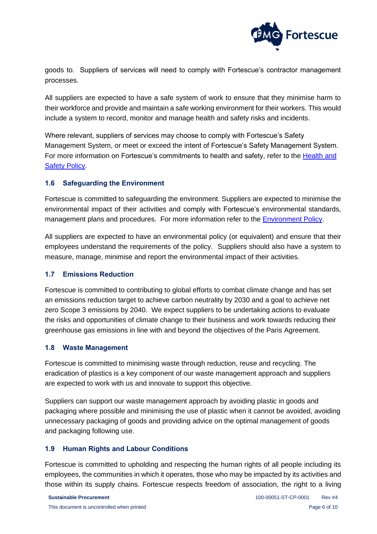

goods to. Suppliers of services will need to comply with Fortescue's contractor management processes.

All suppliers are expected to have a safe system of work to ensure that they minimise harm to their workforce and provide and maintain a safe working environment for their workers. This would include a system to record, monitor and manage health and safety risks and incidents.

Where relevant, suppliers of services may choose to comply with Fortescue's Safety Management System, or meet or exceed the intent of Fortescue's Safety Management System. For more information on Fortescue's commitments to health and safety, refer to the [Health and](https://www.fmgl.com.au/docs/default-source/suppliers-documents/100-po-sa-0010-health-and-safety-policy_newc30bc16f0e4d43d1ae292718e8e7cc82.pdf?sfvrsn=ddcd0500_2)  [Safety Policy.](https://www.fmgl.com.au/docs/default-source/suppliers-documents/100-po-sa-0010-health-and-safety-policy_newc30bc16f0e4d43d1ae292718e8e7cc82.pdf?sfvrsn=ddcd0500_2)

#### <span id="page-5-0"></span>**1.6 Safeguarding the Environment**

Fortescue is committed to safeguarding the environment. Suppliers are expected to minimise the environmental impact of their activities and comply with Fortescue's environmental standards, management plans and procedures. For more information refer to the [Environment Policy.](https://www.fmgl.com.au/docs/default-source/corporate-governance-(2019)/environment-policy.pdf?sfvrsn=d07e0a13_0)

All suppliers are expected to have an environmental policy (or equivalent) and ensure that their employees understand the requirements of the policy. Suppliers should also have a system to measure, manage, minimise and report the environmental impact of their activities.

#### <span id="page-5-1"></span>**1.7 Emissions Reduction**

Fortescue is committed to contributing to global efforts to combat climate change and has set an emissions reduction target to achieve carbon neutrality by 2030 and a goal to achieve net zero Scope 3 emissions by 2040. We expect suppliers to be undertaking actions to evaluate the risks and opportunities of climate change to their business and work towards reducing their greenhouse gas emissions in line with and beyond the objectives of the Paris Agreement.

#### <span id="page-5-2"></span>**1.8 Waste Management**

Fortescue is committed to minimising waste through reduction, reuse and recycling. The eradication of plastics is a key component of our waste management approach and suppliers are expected to work with us and innovate to support this objective.

Suppliers can support our waste management approach by avoiding plastic in goods and packaging where possible and minimising the use of plastic when it cannot be avoided, avoiding unnecessary packaging of goods and providing advice on the optimal management of goods and packaging following use.

#### <span id="page-5-3"></span>**1.9 Human Rights and Labour Conditions**

Fortescue is committed to upholding and respecting the human rights of all people including its employees, the communities in which it operates, those who may be impacted by its activities and those within its supply chains. Fortescue respects freedom of association, the right to a living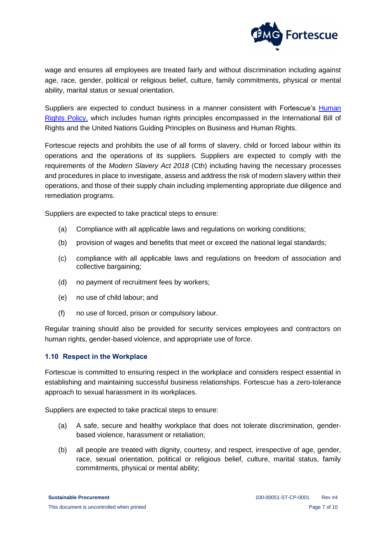

wage and ensures all employees are treated fairly and without discrimination including against age, race, gender, political or religious belief, culture, family commitments, physical or mental ability, marital status or sexual orientation.

Suppliers are expected to conduct business in a manner consistent with Fortescue's Human [Rights Policy,](https://www.fmgl.com.au/docs/default-source/default-document-library/human-rights-policy.pdf?sfvrsn=836fb0ac_4) which includes human rights principles encompassed in the International Bill of Rights and the United Nations Guiding Principles on Business and Human Rights.

Fortescue rejects and prohibits the use of all forms of slavery, child or forced labour within its operations and the operations of its suppliers. Suppliers are expected to comply with the requirements of the *Modern Slavery Act 2018* (Cth) including having the necessary processes and procedures in place to investigate, assess and address the risk of modern slavery within their operations, and those of their supply chain including implementing appropriate due diligence and remediation programs.

Suppliers are expected to take practical steps to ensure:

- (a) Compliance with all applicable laws and regulations on working conditions;
- (b) provision of wages and benefits that meet or exceed the national legal standards;
- (c) compliance with all applicable laws and regulations on freedom of association and collective bargaining;
- (d) no payment of recruitment fees by workers;
- (e) no use of child labour; and
- (f) no use of forced, prison or compulsory labour.

Regular training should also be provided for security services employees and contractors on human rights, gender-based violence, and appropriate use of force.

#### <span id="page-6-0"></span>**1.10 Respect in the Workplace**

Fortescue is committed to ensuring respect in the workplace and considers respect essential in establishing and maintaining successful business relationships. Fortescue has a zero-tolerance approach to sexual harassment in its workplaces.

Suppliers are expected to take practical steps to ensure:

- (a) A safe, secure and healthy workplace that does not tolerate discrimination, genderbased violence, harassment or retaliation;
- (b) all people are treated with dignity, courtesy, and respect, irrespective of age, gender, race, sexual orientation, political or religious belief, culture, marital status, family commitments, physical or mental ability;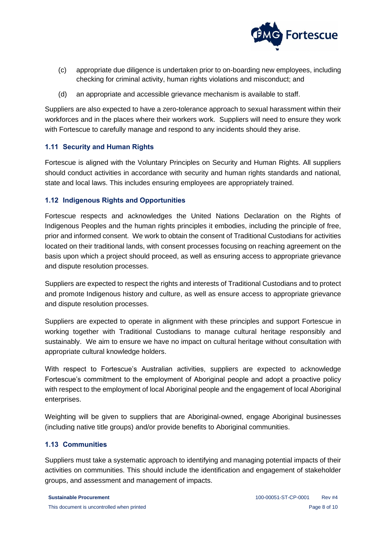

- (c) appropriate due diligence is undertaken prior to on-boarding new employees, including checking for criminal activity, human rights violations and misconduct; and
- (d) an appropriate and accessible grievance mechanism is available to staff.

Suppliers are also expected to have a zero-tolerance approach to sexual harassment within their workforces and in the places where their workers work. Suppliers will need to ensure they work with Fortescue to carefully manage and respond to any incidents should they arise.

# <span id="page-7-0"></span>**1.11 Security and Human Rights**

Fortescue is aligned with the Voluntary Principles on Security and Human Rights. All suppliers should conduct activities in accordance with security and human rights standards and national, state and local laws. This includes ensuring employees are appropriately trained.

#### <span id="page-7-1"></span>**1.12 Indigenous Rights and Opportunities**

Fortescue respects and acknowledges the United Nations Declaration on the Rights of Indigenous Peoples and the human rights principles it embodies, including the principle of free, prior and informed consent. We work to obtain the consent of Traditional Custodians for activities located on their traditional lands, with consent processes focusing on reaching agreement on the basis upon which a project should proceed, as well as ensuring access to appropriate grievance and dispute resolution processes.

Suppliers are expected to respect the rights and interests of Traditional Custodians and to protect and promote Indigenous history and culture, as well as ensure access to appropriate grievance and dispute resolution processes.

Suppliers are expected to operate in alignment with these principles and support Fortescue in working together with Traditional Custodians to manage cultural heritage responsibly and sustainably. We aim to ensure we have no impact on cultural heritage without consultation with appropriate cultural knowledge holders.

With respect to Fortescue's Australian activities, suppliers are expected to acknowledge Fortescue's commitment to the employment of Aboriginal people and adopt a proactive policy with respect to the employment of local Aboriginal people and the engagement of local Aboriginal enterprises.

Weighting will be given to suppliers that are Aboriginal-owned, engage Aboriginal businesses (including native title groups) and/or provide benefits to Aboriginal communities.

# <span id="page-7-2"></span>**1.13 Communities**

Suppliers must take a systematic approach to identifying and managing potential impacts of their activities on communities. This should include the identification and engagement of stakeholder groups, and assessment and management of impacts.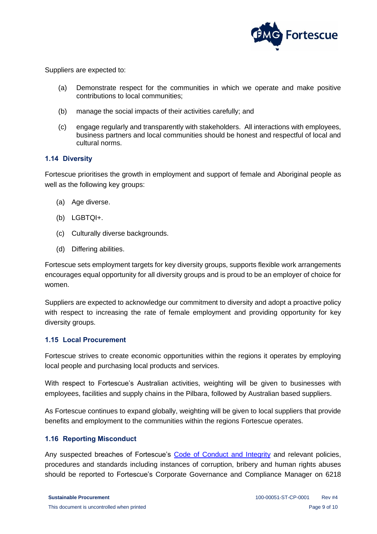

Suppliers are expected to:

- (a) Demonstrate respect for the communities in which we operate and make positive contributions to local communities;
- (b) manage the social impacts of their activities carefully; and
- (c) engage regularly and transparently with stakeholders. All interactions with employees, business partners and local communities should be honest and respectful of local and cultural norms.

#### <span id="page-8-0"></span>**1.14 Diversity**

Fortescue prioritises the growth in employment and support of female and Aboriginal people as well as the following key groups:

- (a) Age diverse.
- (b) LGBTQI+.
- (c) Culturally diverse backgrounds.
- (d) Differing abilities.

Fortescue sets employment targets for key diversity groups, supports flexible work arrangements encourages equal opportunity for all diversity groups and is proud to be an employer of choice for women.

Suppliers are expected to acknowledge our commitment to diversity and adopt a proactive policy with respect to increasing the rate of female employment and providing opportunity for key diversity groups.

#### <span id="page-8-1"></span>**1.15 Local Procurement**

Fortescue strives to create economic opportunities within the regions it operates by employing local people and purchasing local products and services.

With respect to Fortescue's Australian activities, weighting will be given to businesses with employees, facilities and supply chains in the Pilbara, followed by Australian based suppliers.

As Fortescue continues to expand globally, weighting will be given to local suppliers that provide benefits and employment to the communities within the regions Fortescue operates.

#### <span id="page-8-2"></span>**1.16 Reporting Misconduct**

Any suspected breaches of Fortescue's [Code of Conduct and Integrity](https://www.fmgl.com.au/docs/default-source/corporate-governance-documents/employee-code-of-conduct-and-integrity-policya0bd4ae76b624257ac9336c49824a162.pdf) and relevant policies, procedures and standards including instances of corruption, bribery and human rights abuses should be reported to Fortescue's Corporate Governance and Compliance Manager on 6218